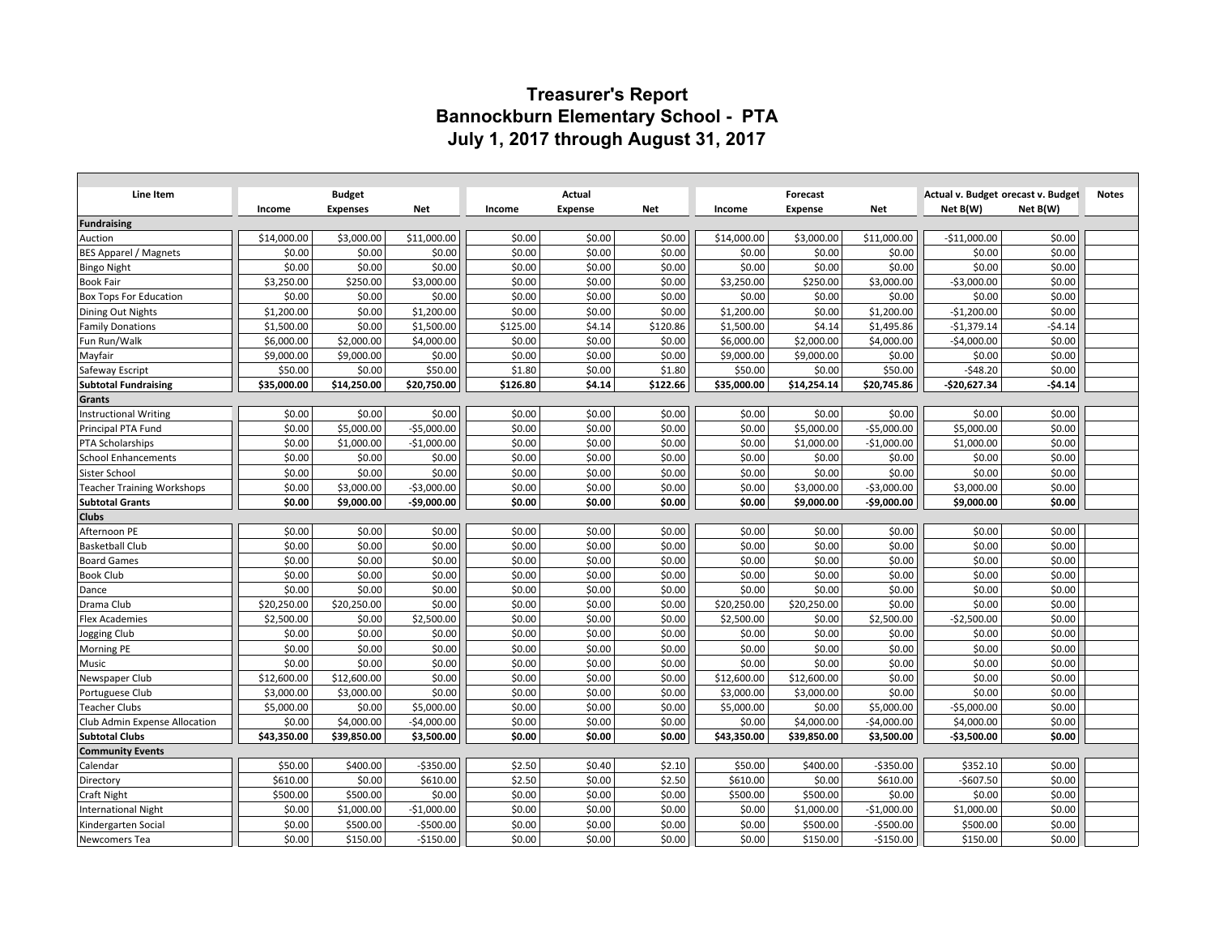## **Treasurer's Report Bannockburn Elementary School - PTA July 1, 2017 through August 31, 2017**

| Line Item                         | <b>Budget</b> |                 |              | Actual   |                |          |             | Forecast       |              |               | Actual v. Budget orecast v. Budget |              |  |
|-----------------------------------|---------------|-----------------|--------------|----------|----------------|----------|-------------|----------------|--------------|---------------|------------------------------------|--------------|--|
|                                   | Income        | <b>Expenses</b> | Net          | Income   | <b>Expense</b> | Net      | Income      | <b>Expense</b> | <b>Net</b>   | Net B(W)      | Net B(W)                           | <b>Notes</b> |  |
| <b>Fundraising</b>                |               |                 |              |          |                |          |             |                |              |               |                                    |              |  |
| Auction                           | \$14,000.00   | \$3,000.00      | \$11,000.00  | \$0.00   | \$0.00         | \$0.00   | \$14,000.00 | \$3,000.00     | \$11,000.00  | $-$11,000.00$ | \$0.00                             |              |  |
| <b>BES Apparel / Magnets</b>      | \$0.00        | \$0.00          | \$0.00       | \$0.00   | \$0.00         | \$0.00   | \$0.00      | \$0.00         | \$0.00       | \$0.00        | \$0.00                             |              |  |
| <b>Bingo Night</b>                | \$0.00        | \$0.00          | \$0.00       | \$0.00   | \$0.00         | \$0.00   | \$0.00      | \$0.00         | \$0.00       | \$0.00        | \$0.00                             |              |  |
| <b>Book Fair</b>                  | \$3,250.00    | \$250.00        | \$3,000.00   | \$0.00   | \$0.00         | \$0.00   | \$3,250.00  | \$250.00       | \$3,000.00   | $-53,000.00$  | \$0.00                             |              |  |
| <b>Box Tops For Education</b>     | \$0.00        | \$0.00          | \$0.00       | \$0.00   | \$0.00         | \$0.00   | \$0.00      | \$0.00         | \$0.00       | \$0.00        | \$0.00                             |              |  |
| Dining Out Nights                 | \$1,200.00    | \$0.00          | \$1,200.00   | \$0.00   | \$0.00         | \$0.00   | \$1,200.00  | \$0.00         | \$1,200.00   | $-$1,200.00$  | \$0.00                             |              |  |
| <b>Family Donations</b>           | \$1,500.00    | \$0.00          | \$1,500.00   | \$125.00 | \$4.14         | \$120.86 | \$1,500.00  | \$4.14         | \$1,495.86   | $-$1,379.14$  | $-54.14$                           |              |  |
| Fun Run/Walk                      | \$6,000.00    | \$2,000.00      | \$4,000.00   | \$0.00   | \$0.00         | \$0.00   | \$6,000.00  | \$2,000.00     | \$4,000.00   | $-$4,000.00$  | \$0.00                             |              |  |
| Mayfair                           | \$9,000.00    | \$9,000.00      | \$0.00       | \$0.00   | \$0.00         | \$0.00   | \$9,000.00  | \$9,000.00     | \$0.00       | \$0.00        | \$0.00                             |              |  |
| Safeway Escript                   | \$50.00       | \$0.00          | \$50.00      | \$1.80   | \$0.00         | \$1.80   | \$50.00     | \$0.00         | \$50.00      | $-548.20$     | \$0.00                             |              |  |
| <b>Subtotal Fundraising</b>       | \$35,000.00   | \$14,250.00     | \$20,750.00  | \$126.80 | \$4.14         | \$122.66 | \$35,000.00 | \$14,254.14    | \$20,745.86  | -\$20,627.34  | -\$4.14                            |              |  |
| Grants                            |               |                 |              |          |                |          |             |                |              |               |                                    |              |  |
| <b>Instructional Writing</b>      | \$0.00        | \$0.00          | \$0.00       | \$0.00   | \$0.00         | \$0.00   | \$0.00      | \$0.00         | \$0.00       | \$0.00        | \$0.00                             |              |  |
| Principal PTA Fund                | \$0.00        | \$5,000.00      | $-$5,000.00$ | \$0.00   | \$0.00         | \$0.00   | \$0.00      | \$5,000.00     | $-$5,000.00$ | \$5,000.00    | \$0.00                             |              |  |
| <b>PTA Scholarships</b>           | \$0.00        | \$1,000.00      | $-$1,000.00$ | \$0.00   | \$0.00         | \$0.00   | \$0.00      | \$1,000.00     | $-$1,000.00$ | \$1,000.00    | \$0.00                             |              |  |
| <b>School Enhancements</b>        | \$0.00        | \$0.00          | \$0.00       | \$0.00   | \$0.00         | \$0.00   | \$0.00      | \$0.00         | \$0.00       | \$0.00        | \$0.00                             |              |  |
| Sister School                     | \$0.00        | \$0.00          | \$0.00       | \$0.00   | \$0.00         | \$0.00   | \$0.00      | \$0.00         | \$0.00       | \$0.00        | \$0.00                             |              |  |
| <b>Teacher Training Workshops</b> | \$0.00        | \$3,000.00      | $-$3,000.00$ | \$0.00   | \$0.00         | \$0.00   | \$0.00      | \$3,000.00     | $-53,000.00$ | \$3,000.00    | \$0.00                             |              |  |
| <b>Subtotal Grants</b>            | \$0.00        | \$9,000.00      | -\$9,000.00  | \$0.00   | \$0.00         | \$0.00   | \$0.00      | \$9,000.00     | $-$9,000.00$ | \$9,000.00    | \$0.00                             |              |  |
| <b>Clubs</b>                      |               |                 |              |          |                |          |             |                |              |               |                                    |              |  |
| Afternoon PE                      | \$0.00        | \$0.00          | \$0.00       | \$0.00   | \$0.00         | \$0.00   | \$0.00      | \$0.00         | \$0.00       | \$0.00        | \$0.00                             |              |  |
| <b>Basketball Club</b>            | \$0.00        | \$0.00          | \$0.00       | \$0.00   | \$0.00         | \$0.00   | \$0.00      | \$0.00         | \$0.00       | \$0.00        | \$0.00                             |              |  |
| <b>Board Games</b>                | \$0.00        | \$0.00          | \$0.00       | \$0.00   | \$0.00         | \$0.00   | \$0.00      | \$0.00         | \$0.00       | \$0.00        | \$0.00                             |              |  |
| <b>Book Club</b>                  | \$0.00        | \$0.00          | \$0.00       | \$0.00   | \$0.00         | \$0.00   | \$0.00      | \$0.00         | \$0.00       | \$0.00        | \$0.00                             |              |  |
| Dance                             | \$0.00        | \$0.00          | \$0.00       | \$0.00   | \$0.00         | \$0.00   | \$0.00      | \$0.00         | \$0.00       | \$0.00        | \$0.00                             |              |  |
| Drama Club                        | \$20,250.00   | \$20,250.00     | \$0.00       | \$0.00   | \$0.00         | \$0.00   | \$20,250.00 | \$20,250.00    | \$0.00       | \$0.00        | \$0.00                             |              |  |
| <b>Flex Academies</b>             | \$2,500.00    | \$0.00          | \$2,500.00   | \$0.00   | \$0.00         | \$0.00   | \$2,500.00  | \$0.00         | \$2,500.00   | $-52,500.00$  | \$0.00                             |              |  |
| Jogging Club                      | \$0.00        | \$0.00          | \$0.00       | \$0.00   | \$0.00         | \$0.00   | \$0.00      | \$0.00         | \$0.00       | \$0.00        | \$0.00                             |              |  |
| Morning PE                        | \$0.00        | \$0.00          | \$0.00       | \$0.00   | \$0.00         | \$0.00   | \$0.00      | \$0.00         | \$0.00       | \$0.00        | \$0.00                             |              |  |
| Music                             | \$0.00        | \$0.00          | \$0.00       | \$0.00   | \$0.00         | \$0.00   | \$0.00      | \$0.00         | \$0.00       | \$0.00        | \$0.00                             |              |  |
| Newspaper Club                    | \$12,600.00   | \$12,600.00     | \$0.00       | \$0.00   | \$0.00         | \$0.00   | \$12,600.00 | \$12,600.00    | \$0.00       | \$0.00        | \$0.00                             |              |  |
| Portuguese Club                   | \$3,000.00    | \$3,000.00      | \$0.00       | \$0.00   | \$0.00         | \$0.00   | \$3,000.00  | \$3,000.00     | \$0.00       | \$0.00        | \$0.00                             |              |  |
| <b>Teacher Clubs</b>              | \$5,000.00    | \$0.00          | \$5,000.00   | \$0.00   | \$0.00         | \$0.00   | \$5,000.00  | \$0.00         | \$5,000.00   | $-$5,000.00$  | \$0.00                             |              |  |
| Club Admin Expense Allocation     | \$0.00        | \$4,000.00      | $-$4,000.00$ | \$0.00   | \$0.00         | \$0.00   | \$0.00      | \$4,000.00     | $-$4,000.00$ | \$4,000.00    | \$0.00                             |              |  |
| <b>Subtotal Clubs</b>             | \$43,350.00   | \$39,850.00     | \$3,500.00   | \$0.00   | \$0.00         | \$0.00   | \$43,350.00 | \$39,850.00    | \$3,500.00   | $-$3,500.00$  | \$0.00                             |              |  |
| <b>Community Events</b>           |               |                 |              |          |                |          |             |                |              |               |                                    |              |  |
| Calendar                          | \$50.00       | \$400.00        | $-5350.00$   | \$2.50   | \$0.40         | \$2.10   | \$50.00     | \$400.00       | $-5350.00$   | \$352.10      | \$0.00                             |              |  |
| Directory                         | \$610.00      | \$0.00          | \$610.00     | \$2.50   | \$0.00         | \$2.50   | \$610.00    | \$0.00         | \$610.00     | $-$607.50$    | \$0.00                             |              |  |
| <b>Craft Night</b>                | \$500.00      | \$500.00        | \$0.00       | \$0.00   | \$0.00         | \$0.00   | \$500.00    | \$500.00       | \$0.00       | \$0.00        | \$0.00                             |              |  |
| <b>International Night</b>        | \$0.00        | \$1,000.00      | $-$1,000.00$ | \$0.00   | \$0.00         | \$0.00   | \$0.00      | \$1,000.00     | $-$1,000.00$ | \$1,000.00    | \$0.00                             |              |  |
| Kindergarten Social               | \$0.00        | \$500.00        | $-$500.00$   | \$0.00   | \$0.00         | \$0.00   | \$0.00      | \$500.00       | $-$500.00$   | \$500.00      | \$0.00                             |              |  |
| Newcomers Tea                     | \$0.00        | \$150.00        | $-$150.00$   | \$0.00   | \$0.00         | \$0.00   | \$0.00      | \$150.00       | $-$150.00$   | \$150.00      | \$0.00                             |              |  |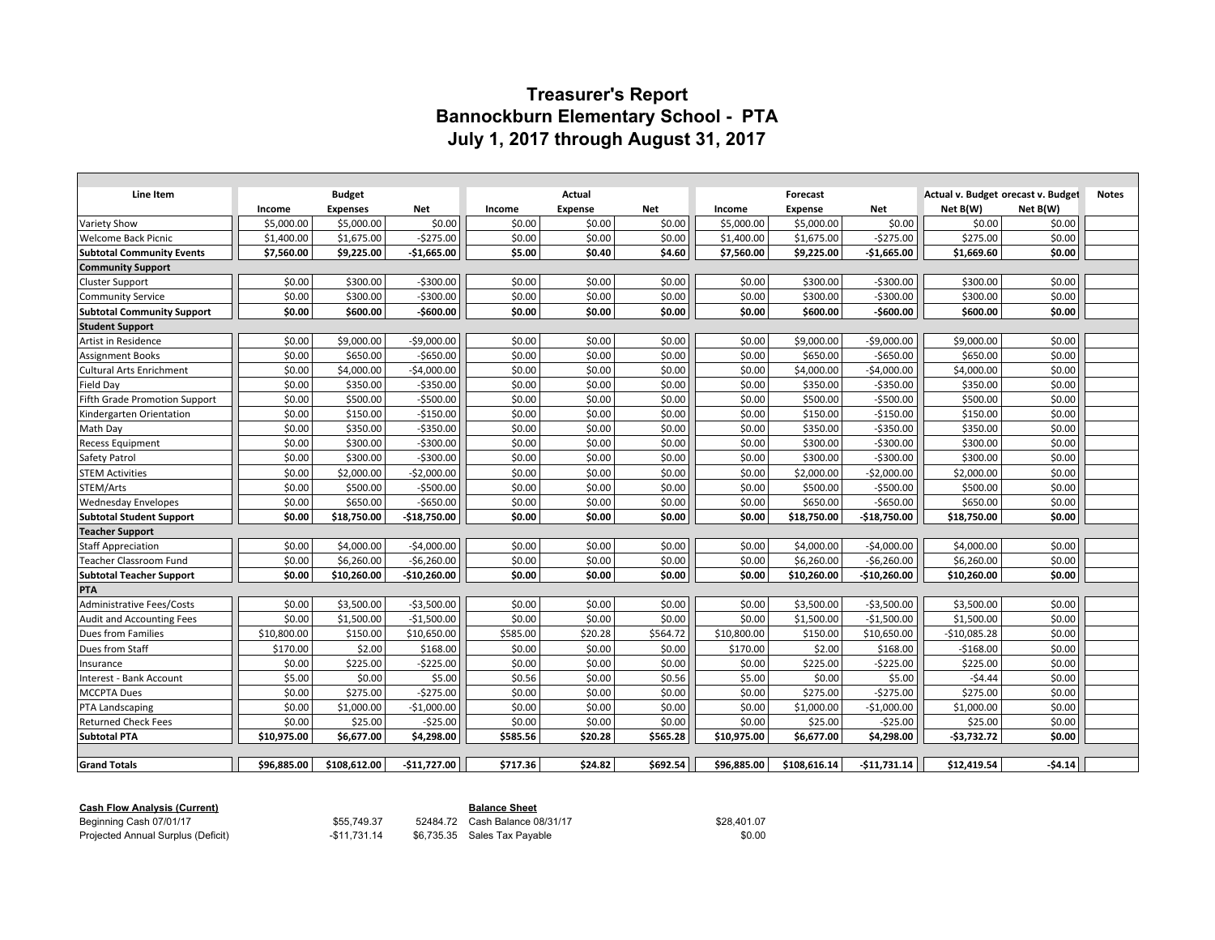## **Treasurer's Report Bannockburn Elementary School - PTA July 1, 2017 through August 31, 2017**

| Line Item                            | <b>Budget</b> |                 |               | Actual   |                |            |             | Forecast       |               | Actual v. Budget orecast v. Budget | <b>Notes</b> |  |
|--------------------------------------|---------------|-----------------|---------------|----------|----------------|------------|-------------|----------------|---------------|------------------------------------|--------------|--|
|                                      | Income        | <b>Expenses</b> | Net           | Income   | <b>Expense</b> | <b>Net</b> | Income      | <b>Expense</b> | <b>Net</b>    | Net B(W)                           | Net B(W)     |  |
| <b>Variety Show</b>                  | \$5,000.00    | \$5,000.00      | \$0.00        | \$0.00   | \$0.00         | \$0.00     | \$5,000.00  | \$5,000.00     | \$0.00        | \$0.00                             | \$0.00       |  |
| <b>Welcome Back Picnic</b>           | \$1,400.00    | \$1,675.00      | $-5275.00$    | \$0.00   | \$0.00         | \$0.00     | \$1,400.00  | \$1,675.00     | $-5275.00$    | \$275.00                           | \$0.00       |  |
| <b>Subtotal Community Events</b>     | \$7,560.00    | \$9,225.00      | $-$1,665.00$  | \$5.00   | \$0.40         | \$4.60     | \$7,560.00  | \$9,225.00     | $-$1,665.00$  | \$1,669.60                         | \$0.00       |  |
| <b>Community Support</b>             |               |                 |               |          |                |            |             |                |               |                                    |              |  |
| <b>Cluster Support</b>               | \$0.00        | \$300.00        | $-5300.00$    | \$0.00   | \$0.00         | \$0.00     | \$0.00      | \$300.00       | $-5300.00$    | \$300.00                           | \$0.00       |  |
| <b>Community Service</b>             | \$0.00        | \$300.00        | $-5300.00$    | \$0.00   | \$0.00         | \$0.00     | \$0.00      | \$300.00       | $-5300.00$    | \$300.00                           | \$0.00       |  |
| <b>Subtotal Community Support</b>    | \$0.00        | \$600.00        | $-$600.00$    | \$0.00   | \$0.00         | \$0.00     | \$0.00      | \$600.00       | $-$600.00$    | \$600.00                           | \$0.00       |  |
| <b>Student Support</b>               |               |                 |               |          |                |            |             |                |               |                                    |              |  |
| Artist in Residence                  | \$0.00        | \$9,000.00      | $-$9,000.00$  | \$0.00   | \$0.00         | \$0.00     | \$0.00      | \$9,000.00     | $-$9,000.00$  | \$9,000.00                         | \$0.00       |  |
| <b>Assignment Books</b>              | \$0.00        | \$650.00        | $-$ \$650.00  | \$0.00   | \$0.00         | \$0.00     | \$0.00      | \$650.00       | $-5650.00$    | \$650.00                           | \$0.00       |  |
| <b>Cultural Arts Enrichment</b>      | \$0.00        | \$4,000.00      | $-$4,000.00$  | \$0.00   | \$0.00         | \$0.00     | \$0.00      | \$4,000.00     | $-$4,000.00$  | \$4,000.00                         | \$0.00       |  |
| Field Day                            | \$0.00        | \$350.00        | $-5350.00$    | \$0.00   | \$0.00         | \$0.00     | \$0.00      | \$350.00       | $-$350.00$    | \$350.00                           | \$0.00       |  |
| <b>Fifth Grade Promotion Support</b> | \$0.00        | \$500.00        | $-5500.00$    | \$0.00   | \$0.00         | \$0.00     | \$0.00      | \$500.00       | $-5500.00$    | \$500.00                           | \$0.00       |  |
| Kindergarten Orientation             | \$0.00        | \$150.00        | $-$150.00$    | \$0.00   | \$0.00         | \$0.00     | \$0.00      | \$150.00       | $-$150.00$    | \$150.00                           | \$0.00       |  |
| Math Day                             | \$0.00        | \$350.00        | $-$ \$350.00  | \$0.00   | \$0.00         | \$0.00     | \$0.00      | \$350.00       | $-$350.00$    | \$350.00                           | \$0.00       |  |
| <b>Recess Equipment</b>              | \$0.00        | \$300.00        | $-5300.00$    | \$0.00   | \$0.00         | \$0.00     | \$0.00      | \$300.00       | $-5300.00$    | \$300.00                           | \$0.00       |  |
| Safety Patrol                        | \$0.00        | \$300.00        | $-$300.00$    | \$0.00   | \$0.00         | \$0.00     | \$0.00      | \$300.00       | $-5300.00$    | \$300.00                           | \$0.00       |  |
| <b>STEM Activities</b>               | \$0.00        | \$2,000.00      | $-$2,000.00$  | \$0.00   | \$0.00         | \$0.00     | \$0.00      | \$2,000.00     | $-$2,000.00$  | \$2,000.00                         | \$0.00       |  |
| STEM/Arts                            | \$0.00        | \$500.00        | $-5500.00$    | \$0.00   | \$0.00         | \$0.00     | \$0.00      | \$500.00       | $-5500.00$    | \$500.00                           | \$0.00       |  |
| <b>Wednesday Envelopes</b>           | \$0.00        | \$650.00        | $-$650.00$    | \$0.00   | \$0.00         | \$0.00     | \$0.00      | \$650.00       | $-$650.00$    | \$650.00                           | \$0.00       |  |
| <b>Subtotal Student Support</b>      | \$0.00        | \$18,750.00     | $-$18,750.00$ | \$0.00   | \$0.00         | \$0.00     | \$0.00      | \$18,750.00    | $-$18,750.00$ | \$18,750.00                        | \$0.00       |  |
| <b>Teacher Support</b>               |               |                 |               |          |                |            |             |                |               |                                    |              |  |
| <b>Staff Appreciation</b>            | \$0.00        | \$4,000.00      | $-54,000.00$  | \$0.00   | \$0.00         | \$0.00     | \$0.00      | \$4,000.00     | $-$4,000.00$  | \$4,000.00                         | \$0.00       |  |
| <b>Teacher Classroom Fund</b>        | \$0.00        | \$6,260.00      | $-$6,260.00$  | \$0.00   | \$0.00         | \$0.00     | \$0.00      | \$6,260.00     | $-$6,260.00$  | \$6,260.00                         | \$0.00       |  |
| <b>Subtotal Teacher Support</b>      | \$0.00        | \$10,260.00     | $-$10,260.00$ | \$0.00   | \$0.00         | \$0.00     | \$0.00      | \$10,260.00    | $-$10,260.00$ | \$10,260.00                        | \$0.00       |  |
| PTA                                  |               |                 |               |          |                |            |             |                |               |                                    |              |  |
| <b>Administrative Fees/Costs</b>     | \$0.00        | \$3,500.00      | $-$3,500.00$  | \$0.00   | \$0.00         | \$0.00     | \$0.00      | \$3,500.00     | $-$3,500.00$  | \$3,500.00                         | \$0.00       |  |
| Audit and Accounting Fees            | \$0.00        | \$1,500.00      | $-$1,500.00$  | \$0.00   | \$0.00         | \$0.00     | \$0.00      | \$1,500.00     | $-$1,500.00$  | \$1,500.00                         | \$0.00       |  |
| Dues from Families                   | \$10,800.00   | \$150.00        | \$10,650.00   | \$585.00 | \$20.28        | \$564.72   | \$10,800.00 | \$150.00       | \$10,650.00   | $-$10,085.28$                      | \$0.00       |  |
| Dues from Staff                      | \$170.00      | \$2.00          | \$168.00      | \$0.00   | \$0.00         | \$0.00     | \$170.00    | \$2.00         | \$168.00      | $-$168.00$                         | \$0.00       |  |
| Insurance                            | \$0.00        | \$225.00        | $-$225.00$    | \$0.00   | \$0.00         | \$0.00     | \$0.00      | \$225.00       | $-$225.00$    | \$225.00                           | \$0.00       |  |
| Interest - Bank Account              | \$5.00        | \$0.00          | \$5.00        | \$0.56   | \$0.00         | \$0.56     | \$5.00      | \$0.00         | \$5.00        | $-54.44$                           | \$0.00       |  |
| <b>MCCPTA Dues</b>                   | \$0.00        | \$275.00        | $-5275.00$    | \$0.00   | \$0.00         | \$0.00     | \$0.00      | \$275.00       | $-5275.00$    | \$275.00                           | \$0.00       |  |
| PTA Landscaping                      | \$0.00        | \$1,000.00      | $-$1,000.00$  | \$0.00   | \$0.00         | \$0.00     | \$0.00      | \$1,000.00     | $-$1,000.00$  | \$1,000.00                         | \$0.00       |  |
| <b>Returned Check Fees</b>           | \$0.00        | \$25.00         | $-525.00$     | \$0.00   | \$0.00         | \$0.00     | \$0.00      | \$25.00        | $-$25.00$     | \$25.00                            | \$0.00       |  |
| <b>Subtotal PTA</b>                  | \$10,975.00   | \$6,677.00      | \$4,298.00    | \$585.56 | \$20.28        | \$565.28   | \$10,975.00 | \$6,677.00     | \$4,298.00    | $-53,732.72$                       | \$0.00       |  |
|                                      |               |                 |               |          |                |            |             |                |               |                                    |              |  |
| <b>Grand Totals</b>                  | \$96.885.00   | \$108.612.00    | $-$11,727.00$ | \$717.36 | \$24.82        | \$692.54   | \$96.885.00 | \$108,616.14   | $-$11,731.14$ | \$12.419.54                        | $-54.14$     |  |

| <b>Cash Flow Analysis (Current)</b> |             | <b>Balance Sheet</b>    |
|-------------------------------------|-------------|-------------------------|
| Beginning Cash 07/01/17             | \$55 749 37 | 52484.72 Cash Balance 0 |

Beginning Cash 07/01/17 **\$55,749.37** 52484.72 Cash Balance 08/31/17 \$28,401.07<br>Projected Annual Surplus (Deficit) **50.00** -\$11,731.14 \$6,735.35 Sales Tax Payable Projected Annual Surplus (Deficit) -\$11,731.14